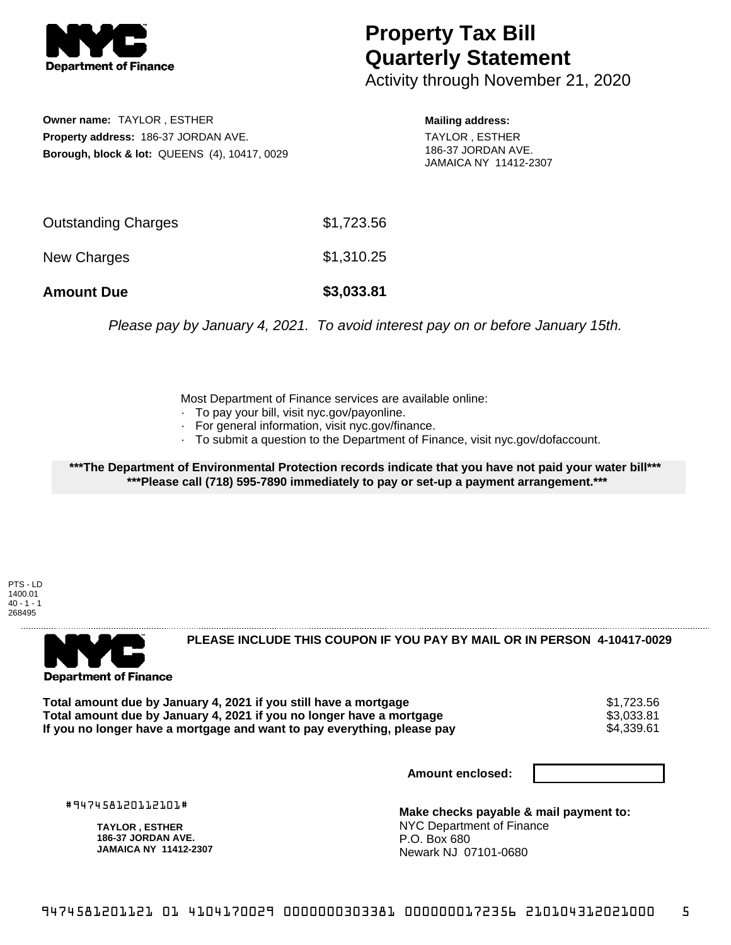

## **Property Tax Bill Quarterly Statement**

Activity through November 21, 2020

**Owner name:** TAYLOR , ESTHER **Property address:** 186-37 JORDAN AVE. **Borough, block & lot:** QUEENS (4), 10417, 0029 **Mailing address:** TAYLOR , ESTHER

186-37 JORDAN AVE. JAMAICA NY 11412-2307

| <b>Amount Due</b>   | \$3,033.81 |
|---------------------|------------|
| New Charges         | \$1,310.25 |
| Outstanding Charges | \$1,723.56 |

Please pay by January 4, 2021. To avoid interest pay on or before January 15th.

Most Department of Finance services are available online:

- · To pay your bill, visit nyc.gov/payonline.
- For general information, visit nyc.gov/finance.
- · To submit a question to the Department of Finance, visit nyc.gov/dofaccount.

**\*\*\*The Department of Environmental Protection records indicate that you have not paid your water bill\*\*\* \*\*\*Please call (718) 595-7890 immediately to pay or set-up a payment arrangement.\*\*\***

PTS - LD 1400.01  $40 - 1 - 1$ 268495



**PLEASE INCLUDE THIS COUPON IF YOU PAY BY MAIL OR IN PERSON 4-10417-0029** 

**Total amount due by January 4, 2021 if you still have a mortgage**  $$1,723.56$ **<br>Total amount due by January 4, 2021 if you no longer have a mortgage**  $$3.033.81$ **Total amount due by January 4, 2021 if you no longer have a mortgage**  $$3,033.81$$ **<br>If you no longer have a mortgage and want to pav everything, please pav**  $$4.339.61$$ If you no longer have a mortgage and want to pay everything, please pay

**Amount enclosed:**

#947458120112101#

**TAYLOR , ESTHER 186-37 JORDAN AVE. JAMAICA NY 11412-2307**

**Make checks payable & mail payment to:** NYC Department of Finance P.O. Box 680 Newark NJ 07101-0680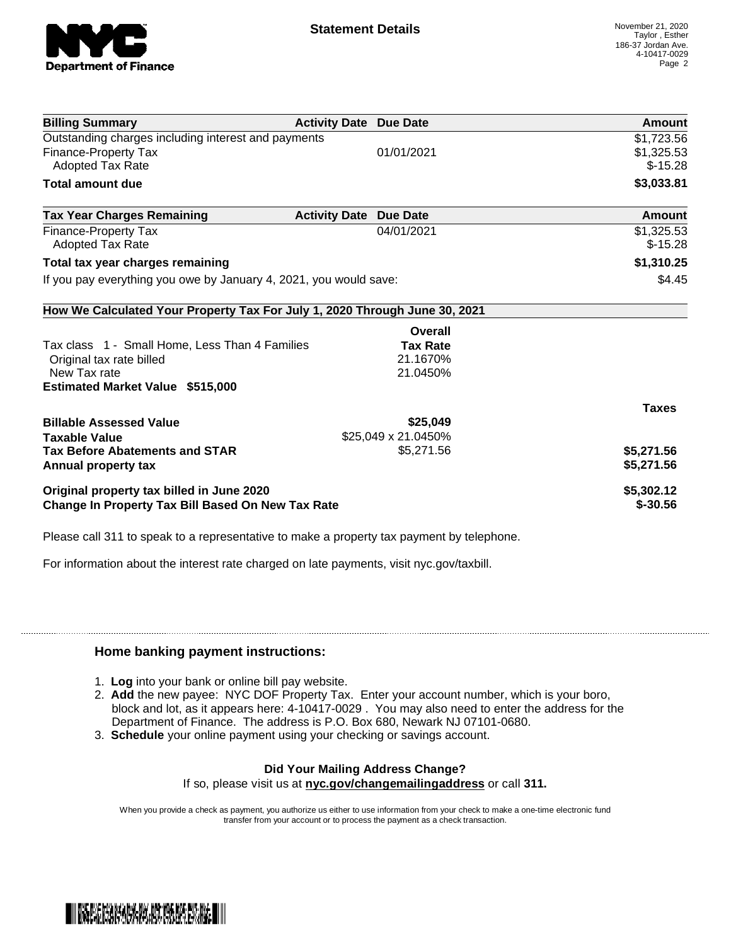

| <b>Billing Summary</b>                                                     | <b>Activity Date Due Date</b> |                     | <b>Amount</b> |
|----------------------------------------------------------------------------|-------------------------------|---------------------|---------------|
| Outstanding charges including interest and payments                        |                               |                     | \$1,723.56    |
| <b>Finance-Property Tax</b>                                                |                               | 01/01/2021          | \$1,325.53    |
| Adopted Tax Rate                                                           |                               |                     | $$-15.28$     |
| <b>Total amount due</b>                                                    |                               |                     | \$3,033.81    |
| <b>Tax Year Charges Remaining</b>                                          | <b>Activity Date</b>          | <b>Due Date</b>     | Amount        |
| <b>Finance-Property Tax</b>                                                |                               | 04/01/2021          | \$1,325.53    |
| <b>Adopted Tax Rate</b>                                                    |                               |                     | $$-15.28$     |
| Total tax year charges remaining                                           |                               |                     | \$1,310.25    |
| If you pay everything you owe by January 4, 2021, you would save:          |                               |                     | \$4.45        |
| How We Calculated Your Property Tax For July 1, 2020 Through June 30, 2021 |                               |                     |               |
|                                                                            |                               | Overall             |               |
| Tax class 1 - Small Home, Less Than 4 Families                             |                               | <b>Tax Rate</b>     |               |
| Original tax rate billed                                                   |                               | 21.1670%            |               |
| New Tax rate                                                               |                               | 21.0450%            |               |
| <b>Estimated Market Value \$515,000</b>                                    |                               |                     |               |
|                                                                            |                               |                     | <b>Taxes</b>  |
| <b>Billable Assessed Value</b>                                             |                               | \$25,049            |               |
| <b>Taxable Value</b>                                                       |                               | \$25,049 x 21.0450% |               |
| <b>Tax Before Abatements and STAR</b>                                      |                               | \$5,271.56          | \$5,271.56    |
| Annual property tax                                                        |                               |                     | \$5,271.56    |
| Original property tax billed in June 2020                                  |                               |                     | \$5,302.12    |
| Change In Property Tax Bill Based On New Tax Rate                          |                               |                     | $$-30.56$     |

Please call 311 to speak to a representative to make a property tax payment by telephone.

For information about the interest rate charged on late payments, visit nyc.gov/taxbill.

## **Home banking payment instructions:**

- 1. **Log** into your bank or online bill pay website.
- 2. **Add** the new payee: NYC DOF Property Tax. Enter your account number, which is your boro, block and lot, as it appears here: 4-10417-0029 . You may also need to enter the address for the Department of Finance. The address is P.O. Box 680, Newark NJ 07101-0680.
- 3. **Schedule** your online payment using your checking or savings account.

## **Did Your Mailing Address Change?**

If so, please visit us at **nyc.gov/changemailingaddress** or call **311.**

When you provide a check as payment, you authorize us either to use information from your check to make a one-time electronic fund transfer from your account or to process the payment as a check transaction.